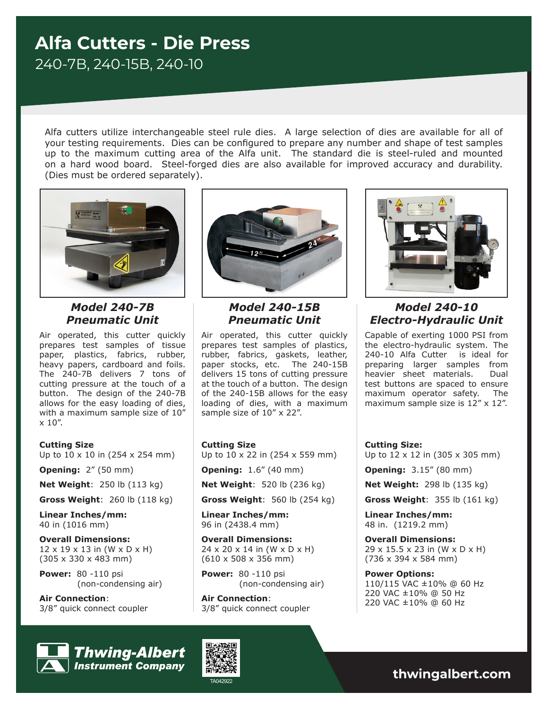# **Alfa Cutters - Die Press** 240-7B, 240-15B, 240-10

Alfa cutters utilize interchangeable steel rule dies. A large selection of dies are available for all of your testing requirements. Dies can be configured to prepare any number and shape of test samples up to the maximum cutting area of the Alfa unit. The standard die is steel-ruled and mounted on a hard wood board. Steel-forged dies are also available for improved accuracy and durability. (Dies must be ordered separately).



# *Model 240-7B Pneumatic Unit*

Air operated, this cutter quickly prepares test samples of tissue paper, plastics, fabrics, rubber, heavy papers, cardboard and foils. The 240-7B delivers 7 tons of cutting pressure at the touch of a button. The design of the 240-7B allows for the easy loading of dies, with a maximum sample size of 10" x 10".

### **Cutting Size**

Up to 10 x 10 in (254 x 254 mm)

**Opening:** 2" (50 mm)

**Net Weight**: 250 lb (113 kg)

**Gross Weight**: 260 lb (118 kg)

**Linear Inches/mm:**  40 in (1016 mm)

**Overall Dimensions:** 12 x 19 x 13 in (W x D x H) (305 x 330 x 483 mm)

**Power:** 80 -110 psi (non-condensing air)

**Air Connection**: 3/8" quick connect coupler



*Model 240-15B Pneumatic Unit*

Air operated, this cutter quickly prepares test samples of plastics, rubber, fabrics, gaskets, leather, paper stocks, etc. The 240-15B delivers 15 tons of cutting pressure at the touch of a button. The design of the 240-15B allows for the easy loading of dies, with a maximum sample size of 10" x 22".

#### **Cutting Size**

Up to 10 x 22 in (254 x 559 mm)

**Opening:** 1.6" (40 mm)

**Net Weight**: 520 lb (236 kg)

**Gross Weight**: 560 lb (254 kg)

**Linear Inches/mm:**  96 in (2438.4 mm)

**Overall Dimensions:** 24 x 20 x 14 in (W x D x H) (610 x 508 x 356 mm)

**Power:** 80 -110 psi (non-condensing air)

**Air Connection**: 3/8" quick connect coupler



### *Model 240-10 Electro-Hydraulic Unit*

Capable of exerting 1000 PSI from the electro-hydraulic system. The 240-10 Alfa Cutter is ideal for preparing larger samples from heavier sheet materials. Dual test buttons are spaced to ensure maximum operator safety. The maximum sample size is  $12'' \times 12''$ .

**Cutting Size:**

Up to 12 x 12 in (305 x 305 mm)

**Opening:** 3.15" (80 mm)

**Net Weight:** 298 lb (135 kg)

**Gross Weight**: 355 lb (161 kg)

**Linear Inches/mm:**  48 in. (1219.2 mm)

**Overall Dimensions:** 29 x 15.5 x 23 in (W x D x H) (736 x 394 x 584 mm)

**Power Options:** 110/115 VAC ±10% @ 60 Hz 220 VAC ±10% @ 50 Hz 220 VAC ±10% @ 60 Hz



**Thwing-Albert Instrument Company** 



TA042922 **thwingalbert.com**